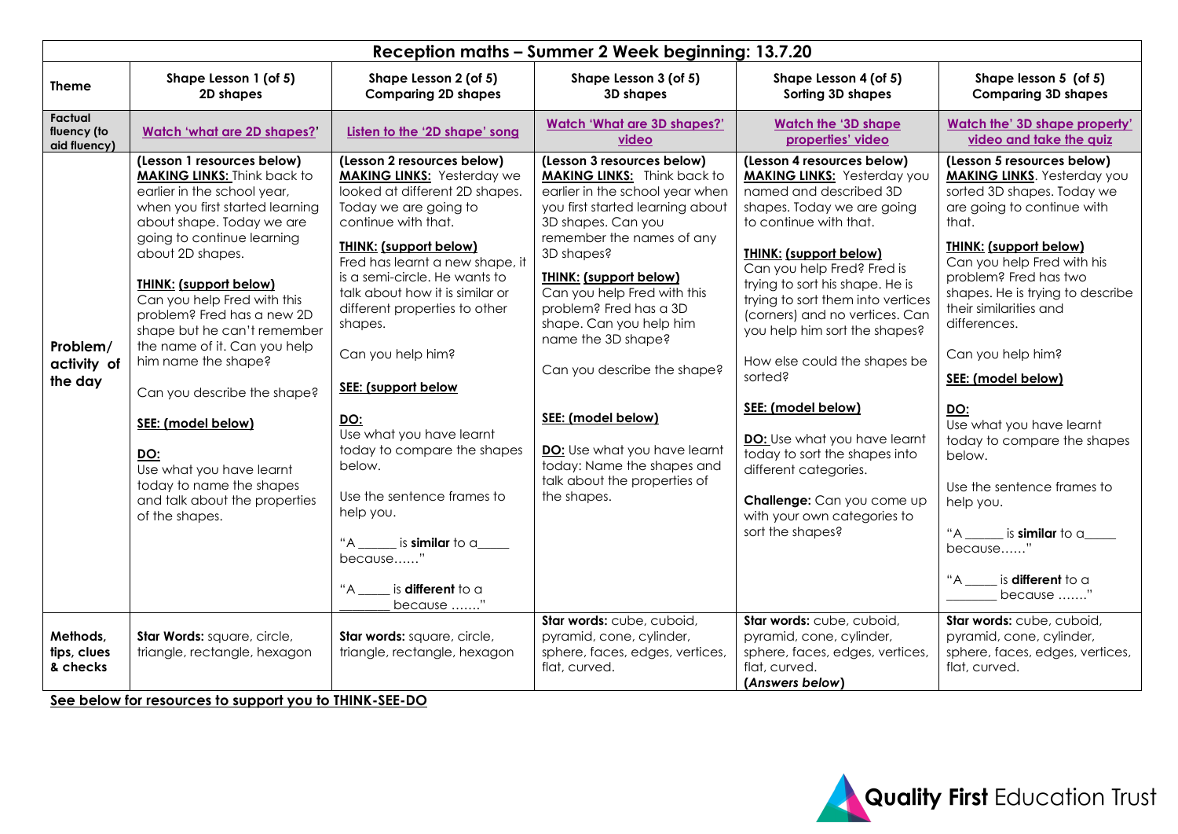| Reception maths - Summer 2 Week beginning: 13.7.20 |                                                                                                                                                                                                                                                                                                                                                                                                                                                                                                                                                                                     |                                                                                                                                                                                                                                                                                                                                                                                                                                                                                                                                                                                                                            |                                                                                                                                                                                                                                                                                                                                                                                                                                                                                                                       |                                                                                                                                                                                                                                                                                                                                                                                                                                                                                                                                                                                                          |                                                                                                                                                                                                                                                                                                                                                                                                                                                                                                                                                                                               |  |  |  |
|----------------------------------------------------|-------------------------------------------------------------------------------------------------------------------------------------------------------------------------------------------------------------------------------------------------------------------------------------------------------------------------------------------------------------------------------------------------------------------------------------------------------------------------------------------------------------------------------------------------------------------------------------|----------------------------------------------------------------------------------------------------------------------------------------------------------------------------------------------------------------------------------------------------------------------------------------------------------------------------------------------------------------------------------------------------------------------------------------------------------------------------------------------------------------------------------------------------------------------------------------------------------------------------|-----------------------------------------------------------------------------------------------------------------------------------------------------------------------------------------------------------------------------------------------------------------------------------------------------------------------------------------------------------------------------------------------------------------------------------------------------------------------------------------------------------------------|----------------------------------------------------------------------------------------------------------------------------------------------------------------------------------------------------------------------------------------------------------------------------------------------------------------------------------------------------------------------------------------------------------------------------------------------------------------------------------------------------------------------------------------------------------------------------------------------------------|-----------------------------------------------------------------------------------------------------------------------------------------------------------------------------------------------------------------------------------------------------------------------------------------------------------------------------------------------------------------------------------------------------------------------------------------------------------------------------------------------------------------------------------------------------------------------------------------------|--|--|--|
| <b>Theme</b>                                       | Shape Lesson 1 (of 5)<br>2D shapes                                                                                                                                                                                                                                                                                                                                                                                                                                                                                                                                                  | Shape Lesson 2 (of 5)<br><b>Comparing 2D shapes</b>                                                                                                                                                                                                                                                                                                                                                                                                                                                                                                                                                                        | Shape Lesson 3 (of 5)<br>3D shapes                                                                                                                                                                                                                                                                                                                                                                                                                                                                                    | Shape Lesson 4 (of 5)<br>Sorting 3D shapes                                                                                                                                                                                                                                                                                                                                                                                                                                                                                                                                                               | Shape lesson 5 (of 5)<br><b>Comparing 3D shapes</b>                                                                                                                                                                                                                                                                                                                                                                                                                                                                                                                                           |  |  |  |
| Factual<br>fluency (to<br>aid fluency)             | <b>Watch 'what are 2D shapes?'</b>                                                                                                                                                                                                                                                                                                                                                                                                                                                                                                                                                  | Listen to the '2D shape' song                                                                                                                                                                                                                                                                                                                                                                                                                                                                                                                                                                                              | <b>Watch 'What are 3D shapes?'</b><br>video                                                                                                                                                                                                                                                                                                                                                                                                                                                                           | <b>Watch the '3D shape</b><br>properties' video                                                                                                                                                                                                                                                                                                                                                                                                                                                                                                                                                          | Watch the' 3D shape property'<br>video and take the quiz                                                                                                                                                                                                                                                                                                                                                                                                                                                                                                                                      |  |  |  |
| Problem/<br>activity of<br>the day                 | (Lesson 1 resources below)<br><b>MAKING LINKS: Think back to</b><br>earlier in the school year,<br>when you first started learning<br>about shape. Today we are<br>going to continue learning<br>about 2D shapes.<br><b>THINK: (support below)</b><br>Can you help Fred with this<br>problem? Fred has a new 2D<br>shape but he can't remember<br>the name of it. Can you help<br>him name the shape?<br>Can you describe the shape?<br>SEE: (model below)<br><b>DO:</b><br>Use what you have learnt<br>today to name the shapes<br>and talk about the properties<br>of the shapes. | (Lesson 2 resources below)<br><b>MAKING LINKS:</b> Yesterday we<br>looked at different 2D shapes.<br>Today we are going to<br>continue with that.<br><b>THINK: (support below)</b><br>Fred has learnt a new shape, it<br>is a semi-circle. He wants to<br>talk about how it is similar or<br>different properties to other<br>shapes.<br>Can you help him?<br>SEE: (support below<br>DO:<br>Use what you have learnt<br>today to compare the shapes<br>below.<br>Use the sentence frames to<br>help you.<br>"A $\_\_\_\$ is <b>similar</b> to a $\_\_\_\_\$<br>because"<br>"A ______ is <b>different</b> to a<br>because " | (Lesson 3 resources below)<br><b>MAKING LINKS:</b> Think back to<br>earlier in the school year when<br>you first started learning about<br>3D shapes. Can you<br>remember the names of any<br>3D shapes?<br><b>THINK: (support below)</b><br>Can you help Fred with this<br>problem? Fred has a 3D<br>shape. Can you help him<br>name the 3D shape?<br>Can you describe the shape?<br>SEE: (model below)<br>DO: Use what you have learnt<br>today: Name the shapes and<br>talk about the properties of<br>the shapes. | (Lesson 4 resources below)<br><b>MAKING LINKS: Yesterday you</b><br>named and described 3D<br>shapes. Today we are going<br>to continue with that.<br><b>THINK: (support below)</b><br>Can you help Fred? Fred is<br>trying to sort his shape. He is<br>trying to sort them into vertices<br>(corners) and no vertices. Can<br>you help him sort the shapes?<br>How else could the shapes be<br>sorted?<br>SEE: (model below)<br>DO: Use what you have learnt<br>today to sort the shapes into<br>different categories.<br>Challenge: Can you come up<br>with your own categories to<br>sort the shapes? | (Lesson 5 resources below)<br><b>MAKING LINKS.</b> Yesterday you<br>sorted 3D shapes. Today we<br>are going to continue with<br>that.<br><b>THINK: (support below)</b><br>Can you help Fred with his<br>problem? Fred has two<br>shapes. He is trying to describe<br>their similarities and<br>differences.<br>Can you help him?<br>SEE: (model below)<br>DO:<br>Use what you have learnt<br>today to compare the shapes<br>below.<br>Use the sentence frames to<br>help you.<br>"A $\frac{1}{\sqrt{2}}$ is <b>similar</b> to a<br>because"<br>"A _____ is <b>different</b> to a<br>because " |  |  |  |
| Methods,<br>tips, clues<br>& checks                | Star Words: square, circle,<br>triangle, rectangle, hexagon                                                                                                                                                                                                                                                                                                                                                                                                                                                                                                                         | Star words: square, circle,<br>triangle, rectangle, hexagon                                                                                                                                                                                                                                                                                                                                                                                                                                                                                                                                                                | Star words: cube, cuboid,<br>pyramid, cone, cylinder,<br>sphere, faces, edges, vertices,<br>flat, curved.                                                                                                                                                                                                                                                                                                                                                                                                             | Star words: cube, cuboid,<br>pyramid, cone, cylinder,<br>sphere, faces, edges, vertices,<br>flat, curved.<br>(Answers below)                                                                                                                                                                                                                                                                                                                                                                                                                                                                             | Star words: cube, cuboid,<br>pyramid, cone, cylinder,<br>sphere, faces, edges, vertices,<br>flat, curved.                                                                                                                                                                                                                                                                                                                                                                                                                                                                                     |  |  |  |

**See below for resources to support you to THINK-SEE-DO**

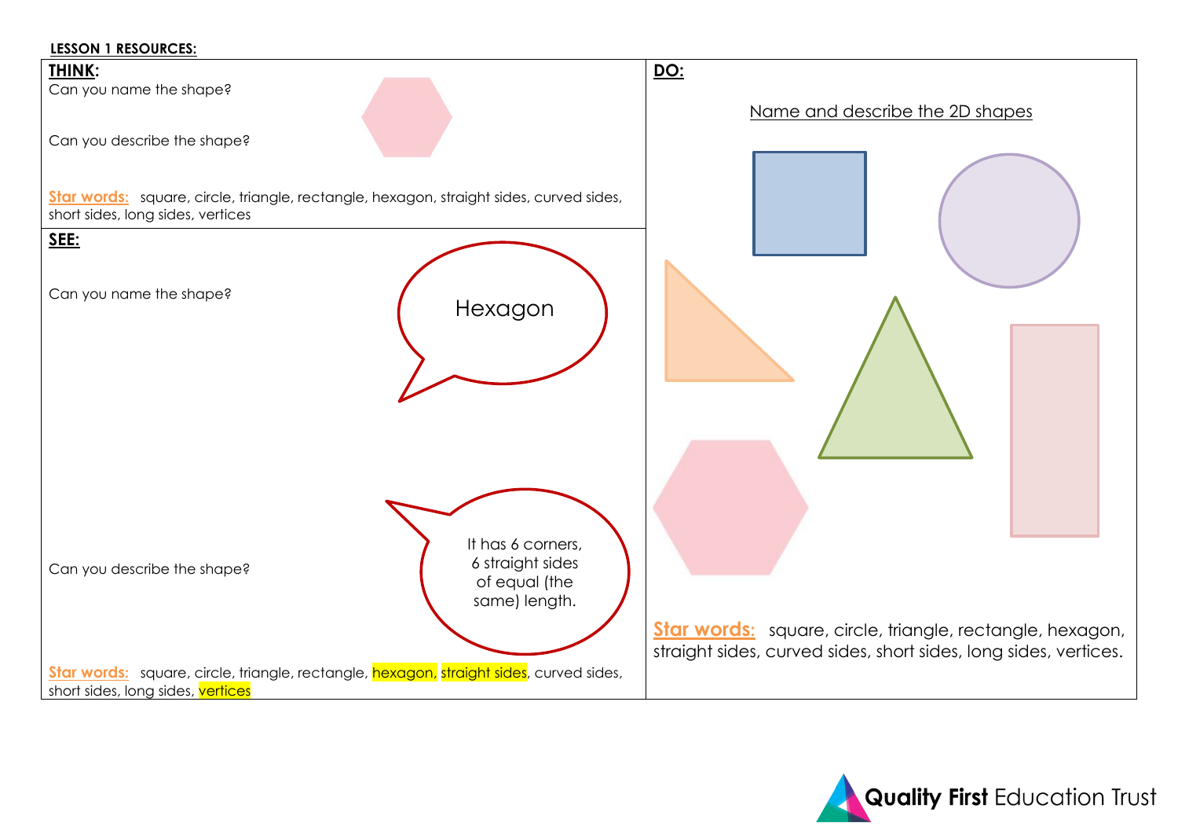### **LESSON 1 RESOURCES:**



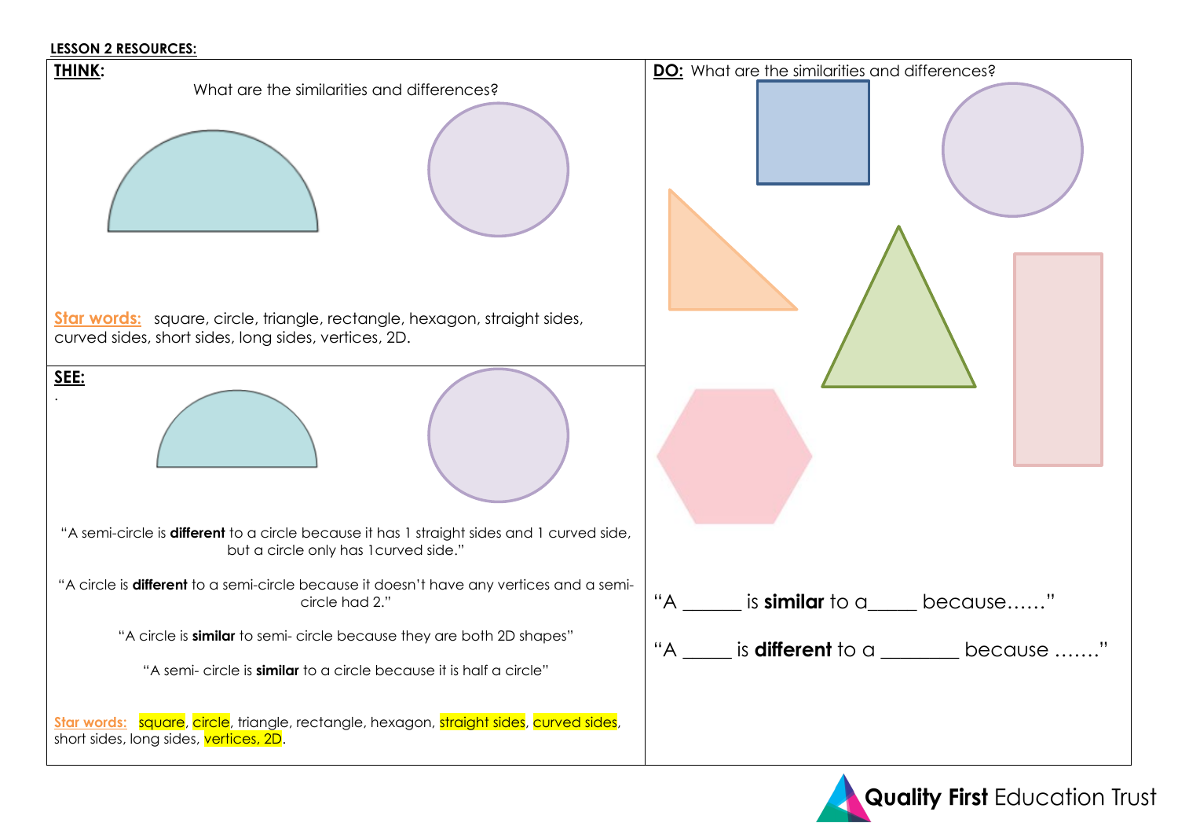## **LESSON 2 RESOURCES:**



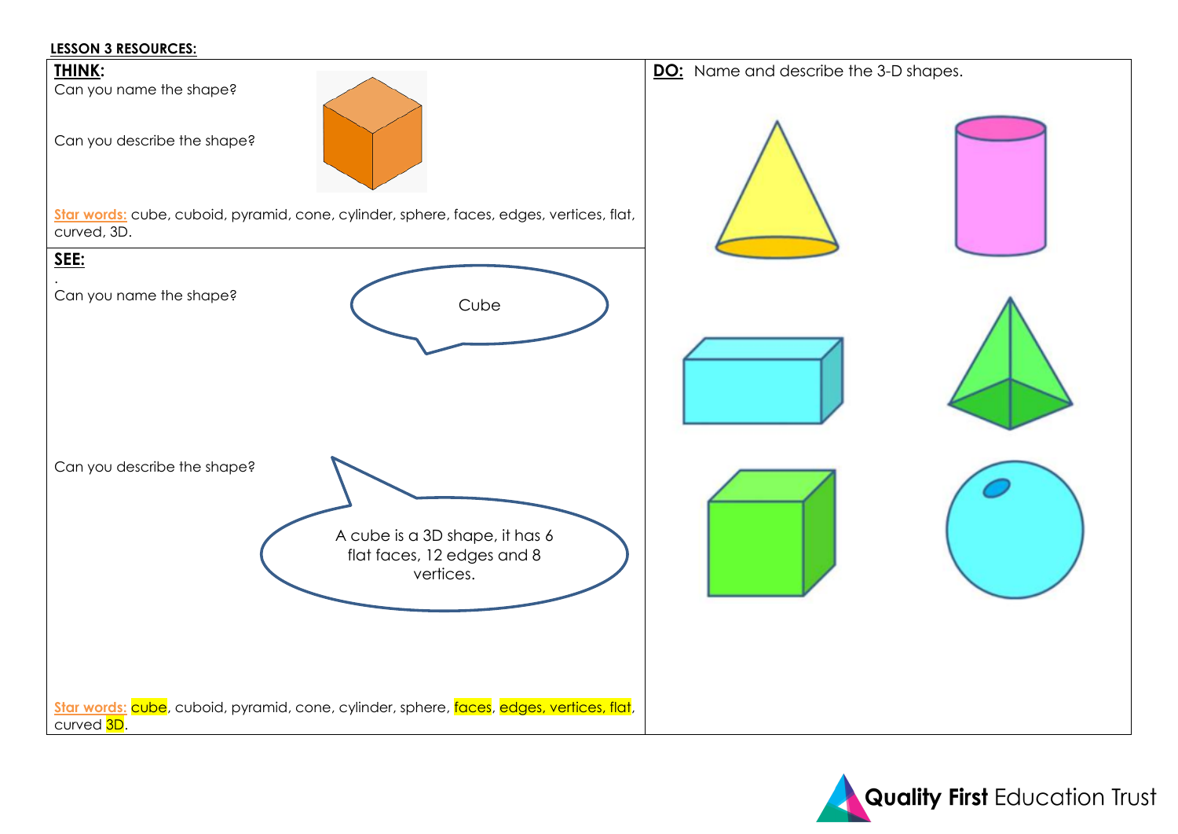## **LESSON 3 RESOURCES:**



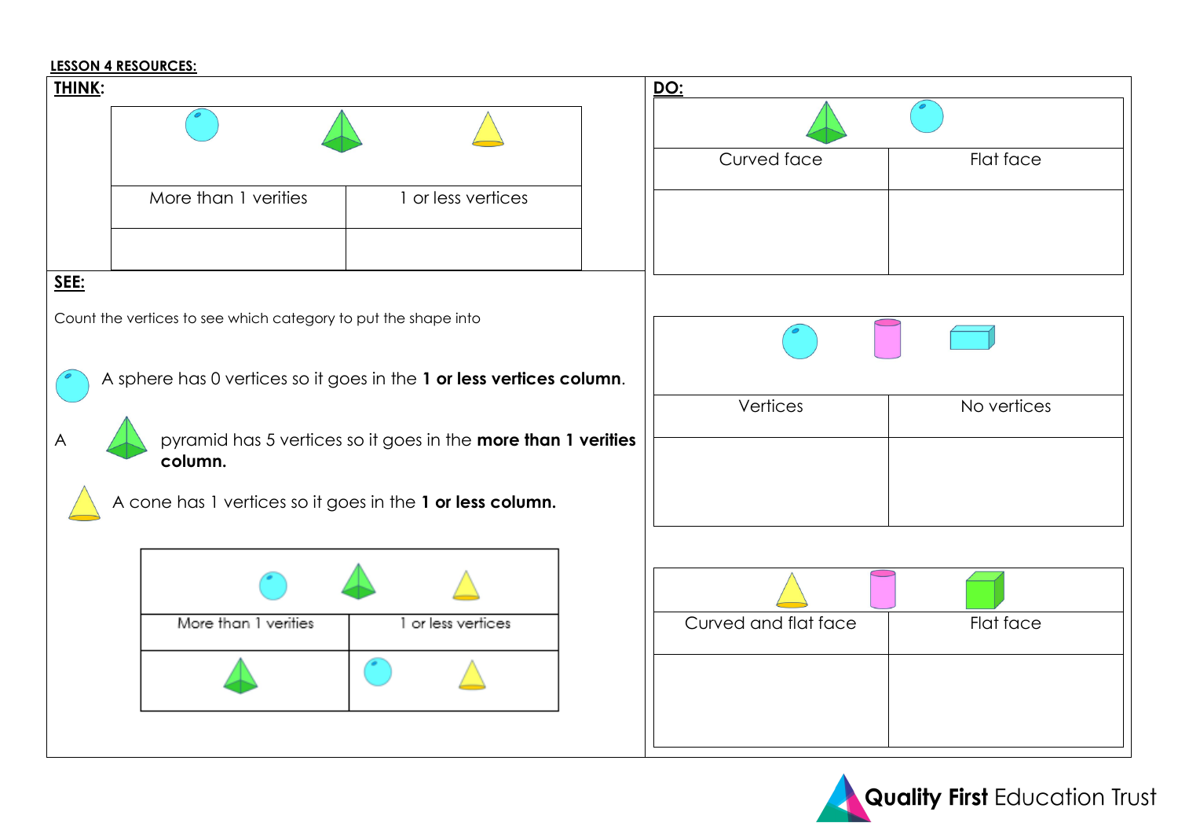## **LESSON 4 RESOURCES:**

| <b>THINK:</b> |                                                                      |                                                               |  | <u>DO:</u>           |             |
|---------------|----------------------------------------------------------------------|---------------------------------------------------------------|--|----------------------|-------------|
|               |                                                                      |                                                               |  |                      |             |
|               |                                                                      |                                                               |  | Curved face          | Flat face   |
|               | More than 1 verities                                                 | 1 or less vertices                                            |  |                      |             |
|               |                                                                      |                                                               |  |                      |             |
| SEE:          |                                                                      |                                                               |  |                      |             |
|               | Count the vertices to see which category to put the shape into       |                                                               |  |                      |             |
|               | A sphere has 0 vertices so it goes in the 1 or less vertices column. |                                                               |  | Vertices             | No vertices |
|               | column.                                                              | pyramid has 5 vertices so it goes in the more than 1 verities |  |                      |             |
|               | A cone has 1 vertices so it goes in the 1 or less column.            |                                                               |  |                      |             |
|               |                                                                      |                                                               |  |                      |             |
|               |                                                                      |                                                               |  |                      |             |
|               | More than 1 verities                                                 | or less vertices                                              |  | Curved and flat face | Flat face   |
|               |                                                                      |                                                               |  |                      |             |
|               |                                                                      |                                                               |  |                      |             |

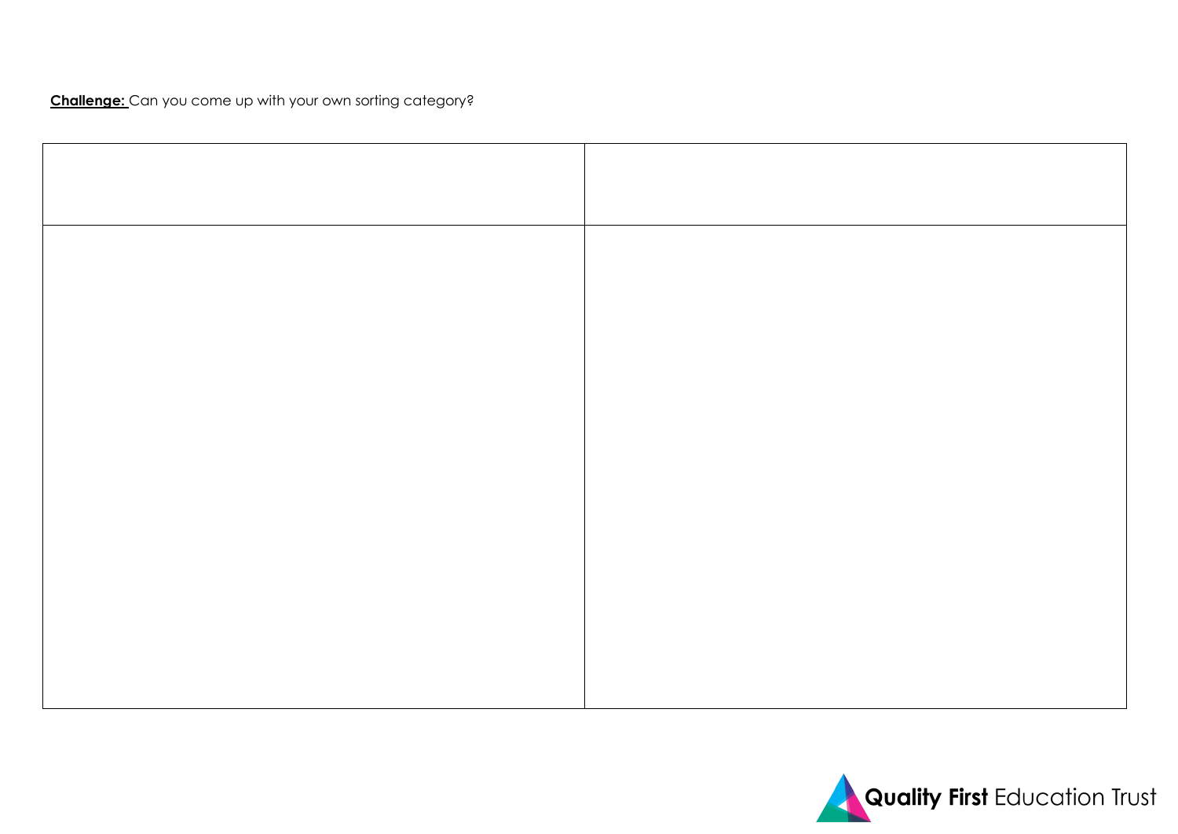**Challenge:** Can you come up with your own sorting category?

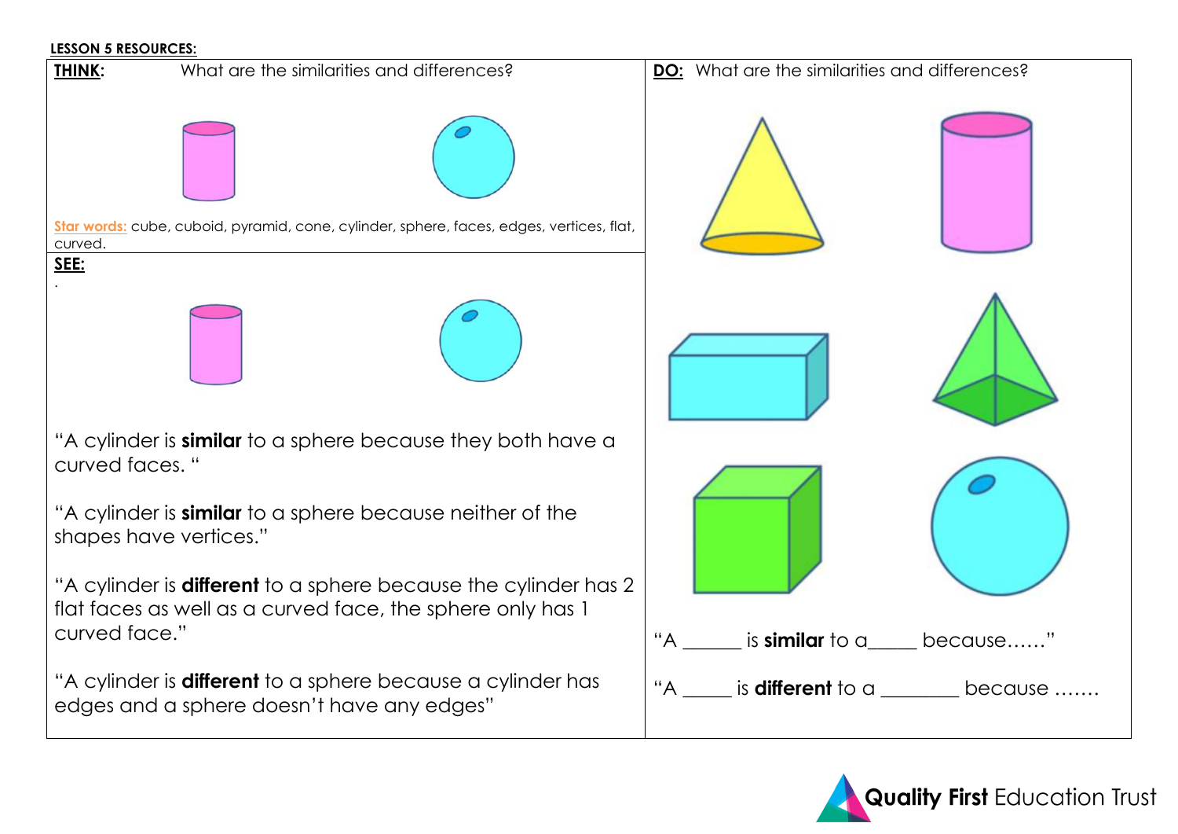## **LESSON 5 RESOURCES:**